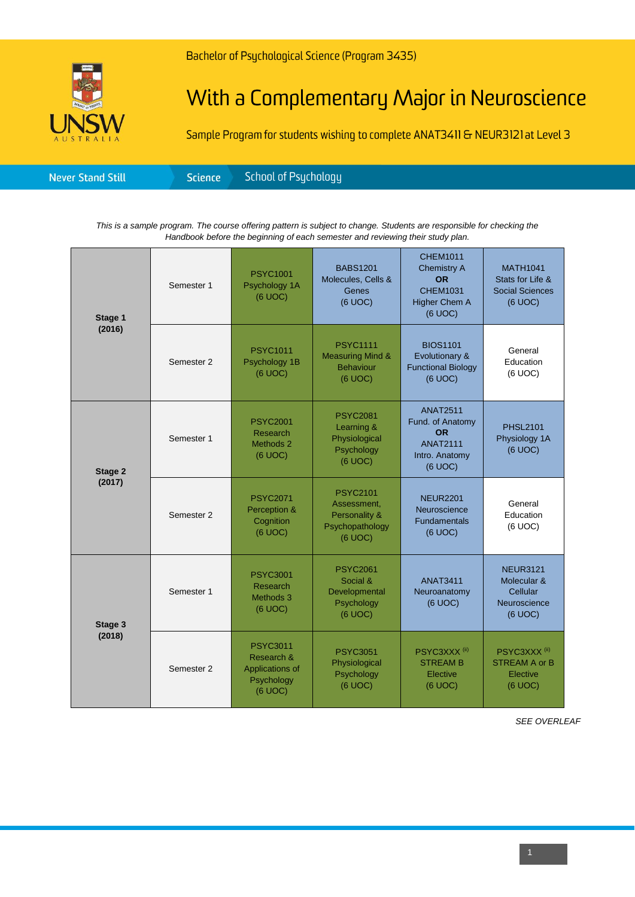## With a Complementary Major in Neuroscience

Sample Program for students wishing to complete ANAT3411 & NEUR3121 at Level 3

| Science <sup>1</sup><br><b>Never Stand Still</b> |
|--------------------------------------------------|
|--------------------------------------------------|

*This is a sample program. The course offering pattern is subject to change. Students are responsible for checking the Handbook before the beginning of each semester and reviewing their study plan.*

| Stage 1<br>(2016) | Semester 1 | <b>PSYC1001</b><br>Psychology 1A<br>(6 UOC)                               | <b>BABS1201</b><br>Molecules, Cells &<br>Genes<br>(6 UOC)                     | <b>CHEM1011</b><br><b>Chemistry A</b><br><b>OR</b><br><b>CHEM1031</b><br><b>Higher Chem A</b><br>(6 UOC) | <b>MATH1041</b><br>Stats for Life &<br><b>Social Sciences</b><br>(6 UOC) |
|-------------------|------------|---------------------------------------------------------------------------|-------------------------------------------------------------------------------|----------------------------------------------------------------------------------------------------------|--------------------------------------------------------------------------|
|                   | Semester 2 | <b>PSYC1011</b><br>Psychology 1B<br>(6 UOC)                               | <b>PSYC1111</b><br><b>Measuring Mind &amp;</b><br><b>Behaviour</b><br>(6 UOC) | <b>BIOS1101</b><br>Evolutionary &<br><b>Functional Biology</b><br>(6 UOC)                                | General<br>Education<br>(6 UOC)                                          |
| Stage 2<br>(2017) | Semester 1 | <b>PSYC2001</b><br>Research<br>Methods 2<br>(6 UOC)                       | <b>PSYC2081</b><br>Learning &<br>Physiological<br>Psychology<br>(6 UOC)       | <b>ANAT2511</b><br>Fund. of Anatomy<br><b>OR</b><br><b>ANAT2111</b><br>Intro. Anatomy<br>(6 UOC)         | <b>PHSL2101</b><br>Physiology 1A<br>(6 UOC)                              |
|                   | Semester 2 | <b>PSYC2071</b><br>Perception &<br>Cognition<br>(6 UOC)                   | <b>PSYC2101</b><br>Assessment,<br>Personality &<br>Psychopathology<br>(6 UOC) | <b>NEUR2201</b><br>Neuroscience<br><b>Fundamentals</b><br>(6 UOC)                                        | General<br>Education<br>(6 UOC)                                          |
| Stage 3<br>(2018) | Semester 1 | <b>PSYC3001</b><br>Research<br>Methods 3<br>(6 UOC)                       | <b>PSYC2061</b><br>Social &<br>Developmental<br>Psychology<br>(6 UOC)         | <b>ANAT3411</b><br>Neuroanatomy<br>(6 UOC)                                                               | <b>NEUR3121</b><br>Molecular &<br>Cellular<br>Neuroscience<br>(6 UOC)    |
|                   | Semester 2 | <b>PSYC3011</b><br>Research &<br>Applications of<br>Psychology<br>(6 UOC) | <b>PSYC3051</b><br>Physiological<br>Psychology<br>(6 UOC)                     | PSYC3XXX <sup>(ii)</sup><br><b>STREAM B</b><br>Elective<br>(6 UOC)                                       | PSYC3XXX <sup>(ii)</sup><br><b>STREAM A or B</b><br>Elective<br>(6 UOC)  |

*SEE OVERLEAF*